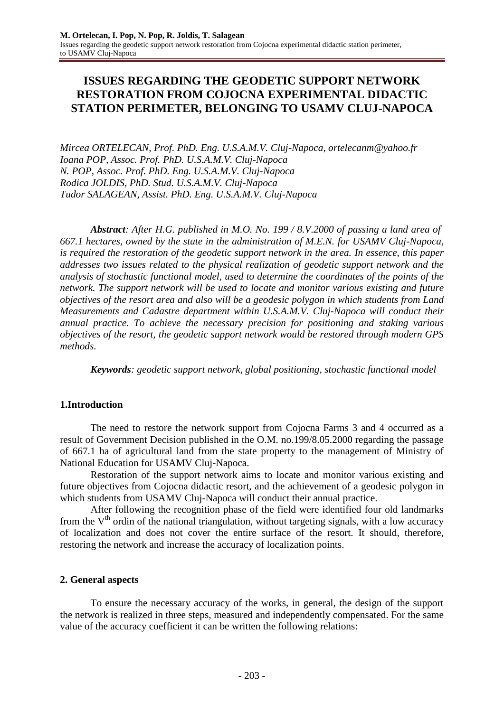# **ISSUES REGARDING THE GEODETIC SUPPORT NETWORK RESTORATION FROM COJOCNA EXPERIMENTAL DIDACTIC STATION PERIMETER, BELONGING TO USAMV CLUJ-NAPOCA**

*Mircea ORTELECAN, Prof. PhD. Eng. U.S.A.M.V. Cluj-Napoca, [ortelecanm@yahoo.fr](mailto:ortelecanm@yahoo.fr) Ioana POP, Assoc. Prof. PhD. U.S.A.M.V. Cluj-Napoca N. POP, Assoc. Prof. PhD. Eng. U.S.A.M.V. Cluj-Napoca Rodica JOLDIS, PhD. Stud. U.S.A.M.V. Cluj-Napoca Tudor SALAGEAN, Assist. PhD. Eng. U.S.A.M.V. Cluj-Napoca*

*Abstract: After H.G. published in M.O. No. 199 / 8.V.2000 of passing a land area of 667.1 hectares, owned by the state in the administration of M.E.N. for USAMV Cluj-Napoca, is required the restoration of the geodetic support network in the area. In essence, this paper addresses two issues related to the physical realization of geodetic support network and the analysis of stochastic functional model, used to determine the coordinates of the points of the network. The support network will be used to locate and monitor various existing and future objectives of the resort area and also will be a geodesic polygon in which students from Land Measurements and Cadastre department within U.S.A.M.V. Cluj-Napoca will conduct their annual practice. To achieve the necessary precision for positioning and staking various objectives of the resort, the geodetic support network would be restored through modern GPS methods.*

*Keywords: geodetic support network, global positioning, stochastic functional model*

## **1.Introduction**

The need to restore the network support from Cojocna Farms 3 and 4 occurred as a result of Government Decision published in the O.M. no.199/8.05.2000 regarding the passage of 667.1 ha of agricultural land from the state property to the management of Ministry of National Education for USAMV Cluj-Napoca.

Restoration of the support network aims to locate and monitor various existing and future objectives from Cojocna didactic resort, and the achievement of a geodesic polygon in which students from USAMV Cluj-Napoca will conduct their annual practice.

After following the recognition phase of the field were identified four old landmarks from the  $V<sup>th</sup>$  ordin of the national triangulation, without targeting signals, with a low accuracy of localization and does not cover the entire surface of the resort. It should, therefore, restoring the network and increase the accuracy of localization points.

### **2. General aspects**

To ensure the necessary accuracy of the works, in general, the design of the support the network is realized in three steps, measured and independently compensated. For the same value of the accuracy coefficient it can be written the following relations: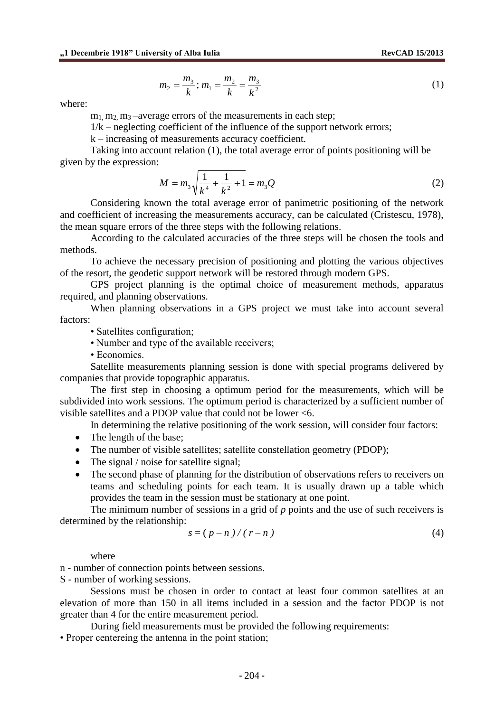$$
m_2 = \frac{m_3}{k}; m_1 = \frac{m_2}{k} = \frac{m_3}{k^2}
$$
 (1)

where:

 $m_1$ ,  $m_2$ ,  $m_3$  –average errors of the measurements in each step;

 $1/k$  – neglecting coefficient of the influence of the support network errors;

k – increasing of measurements accuracy coefficient.

Taking into account relation (1), the total average error of points positioning will be given by the expression:

$$
M = m_3 \sqrt{\frac{1}{k^4} + \frac{1}{k^2} + 1} = m_3 Q
$$
 (2)

Considering known the total average error of panimetric positioning of the network and coefficient of increasing the measurements accuracy, can be calculated (Cristescu, 1978), the mean square errors of the three steps with the following relations.

According to the calculated accuracies of the three steps will be chosen the tools and methods.

To achieve the necessary precision of positioning and plotting the various objectives of the resort, the geodetic support network will be restored through modern GPS.

GPS project planning is the optimal choice of measurement methods, apparatus required, and planning observations.

When planning observations in a GPS project we must take into account several factors:

• Satellites configuration;

• Number and type of the available receivers;

• Economics.

Satellite measurements planning session is done with special programs delivered by companies that provide topographic apparatus.

The first step in choosing a optimum period for the measurements, which will be subdivided into work sessions. The optimum period is characterized by a sufficient number of visible satellites and a PDOP value that could not be lower <6.

In determining the relative positioning of the work session, will consider four factors:

- The length of the base;
- The number of visible satellites; satellite constellation geometry (PDOP);
- The signal / noise for satellite signal;
- The second phase of planning for the distribution of observations refers to receivers on teams and scheduling points for each team. It is usually drawn up a table which provides the team in the session must be stationary at one point.

The minimum number of sessions in a grid of *p* points and the use of such receivers is determined by the relationship:

$$
s = (p - n) / (r - n) \tag{4}
$$

where

n - number of connection points between sessions.

S - number of working sessions.

Sessions must be chosen in order to contact at least four common satellites at an elevation of more than 150 in all items included in a session and the factor PDOP is not greater than 4 for the entire measurement period.

During field measurements must be provided the following requirements: • Proper centereing the antenna in the point station;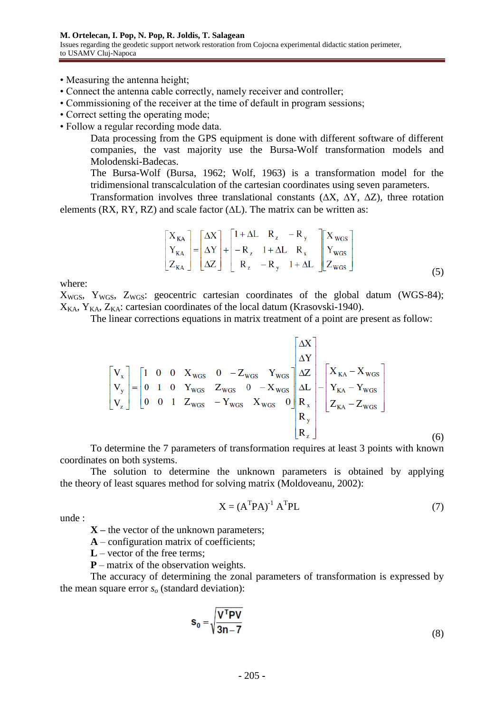• Measuring the antenna height;

- Connect the antenna cable correctly, namely receiver and controller;
- Commissioning of the receiver at the time of default in program sessions;
- Correct setting the operating mode;
- Follow a regular recording mode data.

Data processing from the GPS equipment is done with different software of different companies, the vast majority use the Bursa-Wolf transformation models and Molodenski-Badecas.

The Bursa-Wolf (Bursa, 1962; Wolf, 1963) is a transformation model for the tridimensional transcalculation of the cartesian coordinates using seven parameters.

Transformation involves three translational constants  $(\Delta X, \Delta Y, \Delta Z)$ , three rotation elements (RX, RY, RZ) and scale factor  $(\Delta L)$ . The matrix can be written as:

$$
\begin{bmatrix} X_{\text{KA}} \\ Y_{\text{KA}} \\ Z_{\text{KA}} \end{bmatrix} = \begin{bmatrix} \Delta X \\ \Delta Y \\ \Delta Z \end{bmatrix} + \begin{bmatrix} 1 + \Delta L & R_z & -R_y \\ -R_z & 1 + \Delta L & R_x \\ R_z & -R_y & 1 + \Delta L \end{bmatrix} \begin{bmatrix} X_{\text{WGS}} \\ Y_{\text{WGS}} \\ Z_{\text{WGS}} \end{bmatrix} \tag{5}
$$

where:

 $X_{WGS}$ ,  $Y_{WGS}$ ,  $Z_{WGS}$ : geocentric cartesian coordinates of the global datum (WGS-84);  $X_{K,A}$ ,  $Y_{K,A}$ ,  $Z_{K,A}$ : cartesian coordinates of the local datum (Krasovski-1940).

The linear corrections equations in matrix treatment of a point are present as follow:

$$
\begin{bmatrix}\nV_x \\
V_y \\
V_z\n\end{bmatrix} = \begin{bmatrix}\n1 & 0 & 0 & X_{wGS} & 0 & -Z_{wGS} & Y_{wGS} \\
0 & 1 & 0 & Y_{wGS} & Z_{wGS} & 0 & -X_{wGS} \\
0 & 0 & 1 & Z_{wGS} & -Y_{wGS} & X_{wGS} & 0\n\end{bmatrix}\n\begin{bmatrix}\n\Delta X \\
\Delta Y \\
\Delta L \\
\Delta L \\
R_x\n\end{bmatrix} - \begin{bmatrix}\nX_{KA} - X_{wGS} \\
Y_{KA} - Y_{wGS} \\
Z_{KA} - Z_{wGS}\n\end{bmatrix}
$$
\n(6)

To determine the 7 parameters of transformation requires at least 3 points with known coordinates on both systems.

The solution to determine the unknown parameters is obtained by applying the theory of least squares method for solving matrix (Moldoveanu, 2002):

$$
X = (ATPA)-1 ATPL
$$
 (7)

unde :

**X –** the vector of the unknown parameters;

**A** – configuration matrix of coefficients;

- **L**  vector of the free terms;
- **P**  matrix of the observation weights.

The accuracy of determining the zonal parameters of transformation is expressed by the mean square error *s<sup>o</sup>* (standard deviation):

$$
\mathbf{s}_0 = \sqrt{\frac{\mathbf{V}^{\mathsf{T}} \mathbf{PV}}{3n - 7}}
$$
 (8)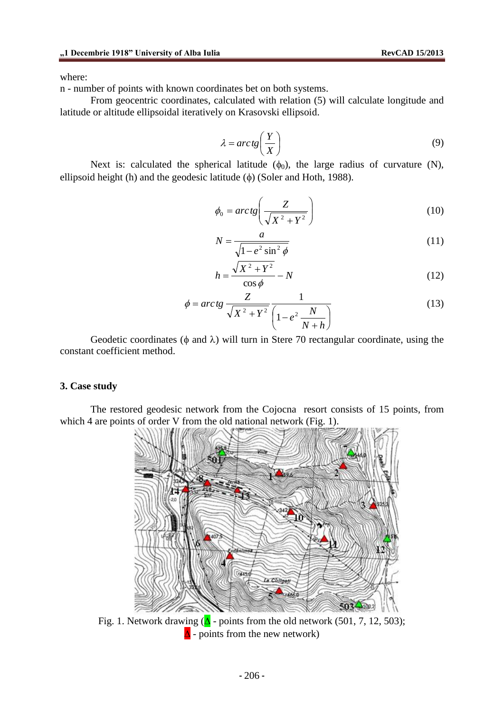n - number of points with known coordinates bet on both systems.

From geocentric coordinates, calculated with relation (5) will calculate longitude and latitude or altitude ellipsoidal iteratively on Krasovski ellipsoid.

$$
\lambda = \arctg\left(\frac{Y}{X}\right) \tag{9}
$$

Next is: calculated the spherical latitude  $(\phi_0)$ , the large radius of curvature (N), ellipsoid height (h) and the geodesic latitude  $(\phi)$  (Soler and Hoth, 1988).

$$
\phi_0 = \arctg\left(\frac{Z}{\sqrt{X^2 + Y^2}}\right) \tag{10}
$$

$$
N = \frac{a}{\sqrt{1 - e^2 \sin^2 \phi}}
$$
\n(11)

$$
h = \frac{\sqrt{X^2 + Y^2}}{\cos \phi} - N \tag{12}
$$

$$
\phi = \arctg \frac{Z}{\sqrt{X^2 + Y^2}} \frac{1}{\left(1 - e^2 \frac{N}{N + h}\right)}
$$
(13)

Geodetic coordinates ( $\phi$  and  $\lambda$ ) will turn in Stere 70 rectangular coordinate, using the constant coefficient method.

### **3. Case study**

The restored geodesic network from the Cojocna resort consists of 15 points, from which 4 are points of order V from the old national network (Fig. 1).



Fig. 1. Network drawing  $(\Delta$  - points from the old network (501, 7, 12, 503);  $\Delta$  - points from the new network)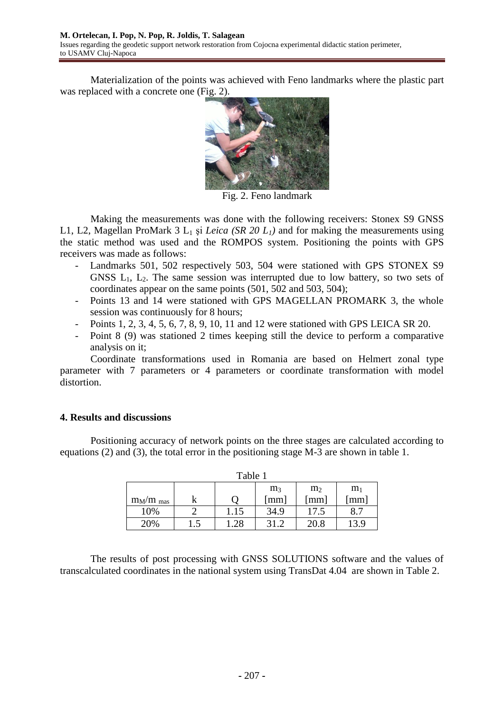Materialization of the points was achieved with Feno landmarks where the plastic part was replaced with a concrete one (Fig. 2).



Fig. 2. Feno landmark

Making the measurements was done with the following receivers: Stonex S9 GNSS L1, L2, Magellan ProMark 3 L<sup>1</sup> şi *Leica (SR 20 L1)* and for making the measurements using the static method was used and the ROMPOS system. Positioning the points with GPS receivers was made as follows:

- Landmarks 501, 502 respectively 503, 504 were stationed with GPS STONEX S9 GNSS  $L_1$ ,  $L_2$ . The same session was interrupted due to low battery, so two sets of coordinates appear on the same points (501, 502 and 503, 504);
- Points 13 and 14 were stationed with GPS MAGELLAN PROMARK 3, the whole session was continuously for 8 hours;
- Points 1, 2, 3, 4, 5, 6, 7, 8, 9, 10, 11 and 12 were stationed with GPS LEICA SR 20.
- Point 8 (9) was stationed 2 times keeping still the device to perform a comparative analysis on it;

Coordinate transformations used in Romania are based on Helmert zonal type parameter with 7 parameters or 4 parameters or coordinate transformation with model distortion.

## **4. Results and discussions**

Positioning accuracy of network points on the three stages are calculated according to equations (2) and (3), the total error in the positioning stage M-3 are shown in table 1.

| Table 1                                            |     |      |      |                      |      |  |  |
|----------------------------------------------------|-----|------|------|----------------------|------|--|--|
| m <sub>3</sub><br>m <sub>2</sub><br>m <sub>1</sub> |     |      |      |                      |      |  |  |
| $m_M/m$ mas                                        |     |      | [mm] | $\lceil$ mm $\rceil$ | [mm] |  |  |
| 10%                                                |     | 1.15 | 34.9 | 17.5                 | 8.7  |  |  |
| 20%                                                | 1.5 | .28  | 31.2 | 20.8                 | 13.9 |  |  |

The results of post processing with GNSS SOLUTIONS software and the values of transcalculated coordinates in the national system using TransDat 4.04 are shown in Table 2.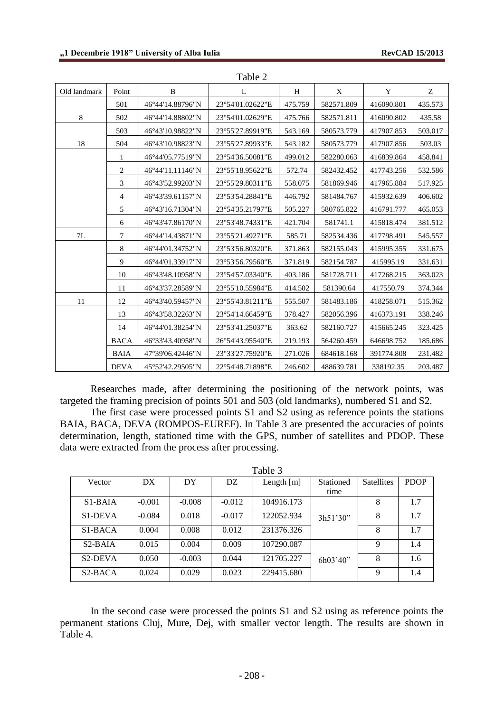| Old landmark | Point       | B                | L                | H       | X          | Y          | Ζ       |
|--------------|-------------|------------------|------------------|---------|------------|------------|---------|
|              | 501         | 46°44'14.88796"N | 23°54'01.02622"E | 475.759 | 582571.809 | 416090.801 | 435.573 |
| $8\,$        | 502         | 46°44'14.88802"N | 23°54'01.02629"E | 475.766 | 582571.811 | 416090.802 | 435.58  |
|              | 503         | 46°43'10.98822"N | 23°55'27.89919"E | 543.169 | 580573.779 | 417907.853 | 503.017 |
| 18           | 504         | 46°43'10.98823"N | 23°55'27.89933"E | 543.182 | 580573.779 | 417907.856 | 503.03  |
|              | 1           | 46°44'05.77519"N | 23°54'36.50081"E | 499.012 | 582280.063 | 416839.864 | 458.841 |
|              | 2           | 46°44'11.11146"N | 23°55'18.95622"E | 572.74  | 582432.452 | 417743.256 | 532.586 |
|              | 3           | 46°43'52.99203"N | 23°55'29.80311"E | 558.075 | 581869.946 | 417965.884 | 517.925 |
|              | 4           | 46°43'39.61157"N | 23°53'54.28841"E | 446.792 | 581484.767 | 415932.639 | 406.602 |
|              | 5           | 46°43'16.71304"N | 23°54'35.21797"E | 505.227 | 580765.822 | 416791.777 | 465.053 |
|              | 6           | 46°43'47.86170"N | 23°53'48.74331"E | 421.704 | 581741.1   | 415818.474 | 381.512 |
| 7L           | 7           | 46°44'14.43871"N | 23°55'21.49271"E | 585.71  | 582534.436 | 417798.491 | 545.557 |
|              | 8           | 46°44′01.34752″N | 23°53'56.80320"E | 371.863 | 582155.043 | 415995.355 | 331.675 |
|              | 9           | 46°44'01.33917"N | 23°53'56.79560"E | 371.819 | 582154.787 | 415995.19  | 331.631 |
|              | 10          | 46°43'48.10958"N | 23°54'57.03340"E | 403.186 | 581728.711 | 417268.215 | 363.023 |
|              | 11          | 46°43'37.28589"N | 23°55'10.55984"E | 414.502 | 581390.64  | 417550.79  | 374.344 |
| 11           | 12          | 46°43'40.59457"N | 23°55'43.81211"E | 555.507 | 581483.186 | 418258.071 | 515.362 |
|              | 13          | 46°43'58.32263"N | 23°54'14.66459"E | 378.427 | 582056.396 | 416373.191 | 338.246 |
|              | 14          | 46°44'01.38254"N | 23°53'41.25037"E | 363.62  | 582160.727 | 415665.245 | 323.425 |
|              | <b>BACA</b> | 46°33'43.40958"N | 26°54'43.95540"E | 219.193 | 564260.459 | 646698.752 | 185.686 |
|              | <b>BAIA</b> | 47°39'06.42446"N | 23°33'27.75920"E | 271.026 | 684618.168 | 391774.808 | 231.482 |
|              | <b>DEVA</b> | 45°52'42.29505"N | 22°54'48.71898"E | 246.602 | 488639.781 | 338192.35  | 203.487 |

Table 2

Researches made, after determining the positioning of the network points, was targeted the framing precision of points 501 and 503 (old landmarks), numbered S1 and S2.

The first case were processed points S1 and S2 using as reference points the stations BAIA, BACA, DEVA (ROMPOS-EUREF). In Table 3 are presented the accuracies of points determination, length, stationed time with the GPS, number of satellites and PDOP. These data were extracted from the process after processing.

| Table 3                           |          |          |          |              |                  |                   |             |
|-----------------------------------|----------|----------|----------|--------------|------------------|-------------------|-------------|
| Vector                            | DX       | DY       | DZ.      | Length $[m]$ | <b>Stationed</b> | <b>Satellites</b> | <b>PDOP</b> |
|                                   |          |          |          |              | time             |                   |             |
| $S1-BAIA$                         | $-0.001$ | $-0.008$ | $-0.012$ | 104916.173   |                  | 8                 | 1.7         |
| S <sub>1</sub> -DEVA              | $-0.084$ | 0.018    | $-0.017$ | 122052.934   | 3h51'30"         | 8                 | 1.7         |
| $S1-BACA$                         | 0.004    | 0.008    | 0.012    | 231376.326   |                  | 8                 | 1.7         |
| $S2-BAIA$                         | 0.015    | 0.004    | 0.009    | 107290.087   |                  | 9                 | 1.4         |
| S <sub>2</sub> -DEVA              | 0.050    | $-0.003$ | 0.044    | 121705.227   | 6h03'40''        | 8                 | 1.6         |
| S <sub>2</sub> -B <sub>AC</sub> A | 0.024    | 0.029    | 0.023    | 229415.680   |                  | 9                 | 1.4         |

In the second case were processed the points S1 and S2 using as reference points the permanent stations Cluj, Mure, Dej, with smaller vector length. The results are shown in Table 4.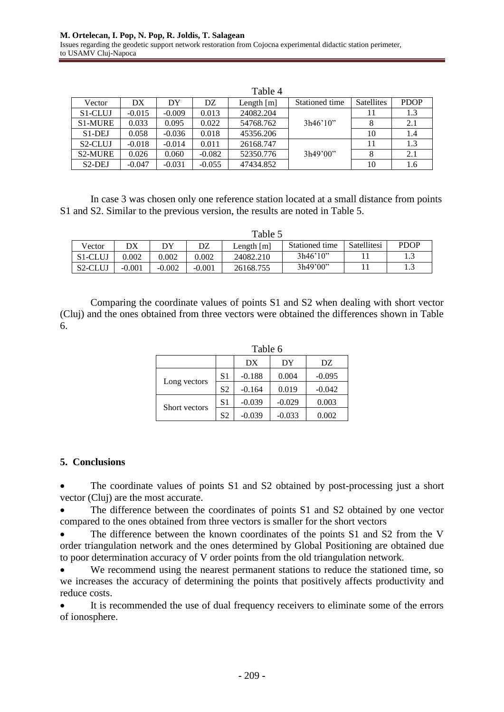|                      |          |          |          | Table 4      |                |            |             |
|----------------------|----------|----------|----------|--------------|----------------|------------|-------------|
| Vector               | DX       | DY       | DZ.      | Length $[m]$ | Stationed time | Satellites | <b>PDOP</b> |
| S <sub>1</sub> -CLUJ | $-0.015$ | $-0.009$ | 0.013    | 24082.204    |                | 11         | 1.3         |
| S1-MURE              | 0.033    | 0.095    | 0.022    | 54768.762    | 3h46'10''      | 8          | 2.1         |
| $S1-DEJ$             | 0.058    | $-0.036$ | 0.018    | 45356.206    |                | 10         | 1.4         |
| S <sub>2</sub> -CLUJ | $-0.018$ | $-0.014$ | 0.011    | 26168.747    |                | 11         | 1.3         |
| <b>S2-MURE</b>       | 0.026    | 0.060    | $-0.082$ | 52350.776    | 3h49'00"       | 8          | 2.1         |
| S <sub>2</sub> -DEJ  | $-0.047$ | $-0.031$ | $-0.055$ | 47434.852    |                | 10         | 1.6         |

In case 3 was chosen only one reference station located at a small distance from points S1 and S2. Similar to the previous version, the results are noted in Table 5.

| Table 5              |          |          |          |            |                |             |             |
|----------------------|----------|----------|----------|------------|----------------|-------------|-------------|
| Vector               | DX       | DY       | DZ       | Length [m] | Stationed time | Satellitesi | <b>PDOP</b> |
| S <sub>1</sub> -CLUJ | 0.002    | 0.002    | 0.002    | 24082.210  | 3h46'10''      |             |             |
| S <sub>2</sub> -CLUJ | $-0.001$ | $-0.002$ | $-0.001$ | 26168.755  | 3h49'00"       |             | ر. 1        |

Comparing the coordinate values of points S1 and S2 when dealing with short vector (Cluj) and the ones obtained from three vectors were obtained the differences shown in Table 6.

|               | Table 6        |          |          |          |  |  |
|---------------|----------------|----------|----------|----------|--|--|
|               |                | DX       | DY       | DZ       |  |  |
|               | S <sub>1</sub> | $-0.188$ | 0.004    | $-0.095$ |  |  |
| Long vectors  | S <sub>2</sub> | $-0.164$ | 0.019    | $-0.042$ |  |  |
| Short vectors | S <sub>1</sub> | $-0.039$ | $-0.029$ | 0.003    |  |  |
|               | S <sub>2</sub> | $-0.039$ | $-0.033$ | 0.002    |  |  |

## **5. Conclusions**

 The coordinate values of points S1 and S2 obtained by post-processing just a short vector (Cluj) are the most accurate.

 The difference between the coordinates of points S1 and S2 obtained by one vector compared to the ones obtained from three vectors is smaller for the short vectors

 The difference between the known coordinates of the points S1 and S2 from the V order triangulation network and the ones determined by Global Positioning are obtained due to poor determination accuracy of V order points from the old triangulation network.

 We recommend using the nearest permanent stations to reduce the stationed time, so we increases the accuracy of determining the points that positively affects productivity and reduce costs.

 It is recommended the use of dual frequency receivers to eliminate some of the errors of ionosphere.